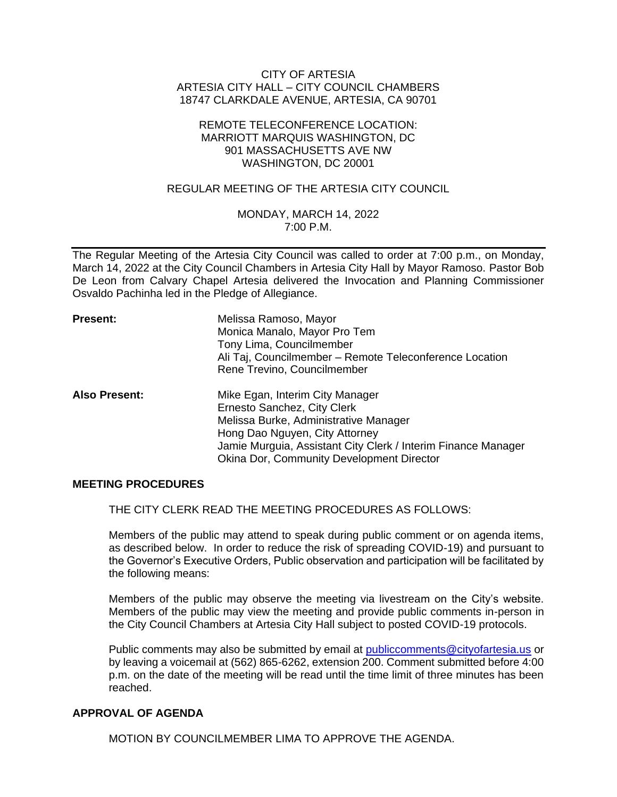## CITY OF ARTESIA ARTESIA CITY HALL – CITY COUNCIL CHAMBERS 18747 CLARKDALE AVENUE, ARTESIA, CA 90701

### REMOTE TELECONFERENCE LOCATION: MARRIOTT MARQUIS WASHINGTON, DC 901 MASSACHUSETTS AVE NW WASHINGTON, DC 20001

## REGULAR MEETING OF THE ARTESIA CITY COUNCIL

## MONDAY, MARCH 14, 2022 7:00 P.M.

The Regular Meeting of the Artesia City Council was called to order at 7:00 p.m., on Monday, March 14, 2022 at the City Council Chambers in Artesia City Hall by Mayor Ramoso. Pastor Bob De Leon from Calvary Chapel Artesia delivered the Invocation and Planning Commissioner Osvaldo Pachinha led in the Pledge of Allegiance.

| <b>Present:</b>      | Melissa Ramoso, Mayor<br>Monica Manalo, Mayor Pro Tem<br>Tony Lima, Councilmember<br>Ali Taj, Councilmember - Remote Teleconference Location<br>Rene Trevino, Councilmember |
|----------------------|-----------------------------------------------------------------------------------------------------------------------------------------------------------------------------|
| <b>Also Present:</b> | Mike Egan, Interim City Manager<br>Ernesto Sanchez, City Clerk<br>Melissa Burke, Administrative Manager<br>Hong Dao Nguyen, City Attorney                                   |
|                      | Jamie Murguia, Assistant City Clerk / Interim Finance Manager<br>Okina Dor, Community Development Director                                                                  |

### **MEETING PROCEDURES**

THE CITY CLERK READ THE MEETING PROCEDURES AS FOLLOWS:

Members of the public may attend to speak during public comment or on agenda items, as described below. In order to reduce the risk of spreading COVID-19) and pursuant to the Governor's Executive Orders, Public observation and participation will be facilitated by the following means:

Members of the public may observe the meeting via livestream on the City's website. Members of the public may view the meeting and provide public comments in-person in the City Council Chambers at Artesia City Hall subject to posted COVID-19 protocols.

Public comments may also be submitted by email at [publiccomments@cityofartesia.us](mailto:publiccomments@cityofartesia.us) or by leaving a voicemail at (562) 865-6262, extension 200. Comment submitted before 4:00 p.m. on the date of the meeting will be read until the time limit of three minutes has been reached.

## **APPROVAL OF AGENDA**

MOTION BY COUNCILMEMBER LIMA TO APPROVE THE AGENDA.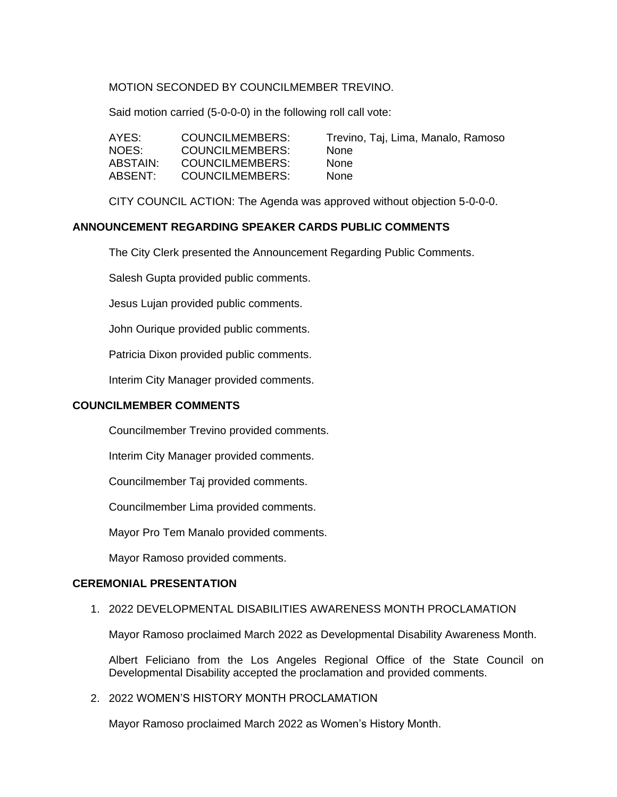## MOTION SECONDED BY COUNCILMEMBER TREVINO.

Said motion carried (5-0-0-0) in the following roll call vote:

| AYES:    | COUNCILMEMBERS: | Trevii |
|----------|-----------------|--------|
| NOES:    | COUNCILMEMBERS: | None   |
| ABSTAIN: | COUNCILMEMBERS: | None   |
| ABSENT:  | COUNCILMEMBERS: | None   |

Trevino, Taj, Lima, Manalo, Ramoso

CITY COUNCIL ACTION: The Agenda was approved without objection 5-0-0-0.

## **ANNOUNCEMENT REGARDING SPEAKER CARDS PUBLIC COMMENTS**

The City Clerk presented the Announcement Regarding Public Comments.

Salesh Gupta provided public comments.

Jesus Lujan provided public comments.

John Ourique provided public comments.

Patricia Dixon provided public comments.

Interim City Manager provided comments.

### **COUNCILMEMBER COMMENTS**

Councilmember Trevino provided comments.

Interim City Manager provided comments.

Councilmember Taj provided comments.

Councilmember Lima provided comments.

Mayor Pro Tem Manalo provided comments.

Mayor Ramoso provided comments.

#### **CEREMONIAL PRESENTATION**

#### 1. 2022 DEVELOPMENTAL DISABILITIES AWARENESS MONTH PROCLAMATION

Mayor Ramoso proclaimed March 2022 as Developmental Disability Awareness Month.

Albert Feliciano from the Los Angeles Regional Office of the State Council on Developmental Disability accepted the proclamation and provided comments.

## 2. 2022 WOMEN'S HISTORY MONTH PROCLAMATION

Mayor Ramoso proclaimed March 2022 as Women's History Month.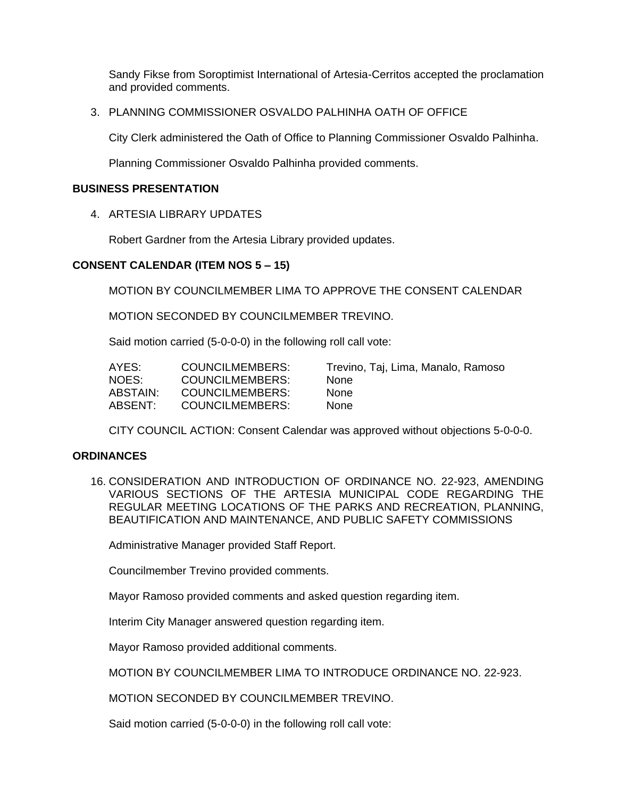Sandy Fikse from Soroptimist International of Artesia-Cerritos accepted the proclamation and provided comments.

3. PLANNING COMMISSIONER OSVALDO PALHINHA OATH OF OFFICE

City Clerk administered the Oath of Office to Planning Commissioner Osvaldo Palhinha.

Planning Commissioner Osvaldo Palhinha provided comments.

### **BUSINESS PRESENTATION**

4. ARTESIA LIBRARY UPDATES

Robert Gardner from the Artesia Library provided updates.

## **CONSENT CALENDAR (ITEM NOS 5 – 15)**

MOTION BY COUNCILMEMBER LIMA TO APPROVE THE CONSENT CALENDAR

MOTION SECONDED BY COUNCILMEMBER TREVINO.

Said motion carried (5-0-0-0) in the following roll call vote:

| AYES:    | COUNCILMEMBERS: | Trevii |
|----------|-----------------|--------|
| NOES:    | COUNCILMEMBERS: | None   |
| ABSTAIN: | COUNCILMEMBERS: | None   |
| ABSENT:  | COUNCILMEMBERS: | None   |

Trevino, Taj, Lima, Manalo, Ramoso

CITY COUNCIL ACTION: Consent Calendar was approved without objections 5-0-0-0.

### **ORDINANCES**

16. CONSIDERATION AND INTRODUCTION OF ORDINANCE NO. 22-923, AMENDING VARIOUS SECTIONS OF THE ARTESIA MUNICIPAL CODE REGARDING THE REGULAR MEETING LOCATIONS OF THE PARKS AND RECREATION, PLANNING, BEAUTIFICATION AND MAINTENANCE, AND PUBLIC SAFETY COMMISSIONS

Administrative Manager provided Staff Report.

Councilmember Trevino provided comments.

Mayor Ramoso provided comments and asked question regarding item.

Interim City Manager answered question regarding item.

Mayor Ramoso provided additional comments.

MOTION BY COUNCILMEMBER LIMA TO INTRODUCE ORDINANCE NO. 22-923.

MOTION SECONDED BY COUNCILMEMBER TREVINO.

Said motion carried (5-0-0-0) in the following roll call vote: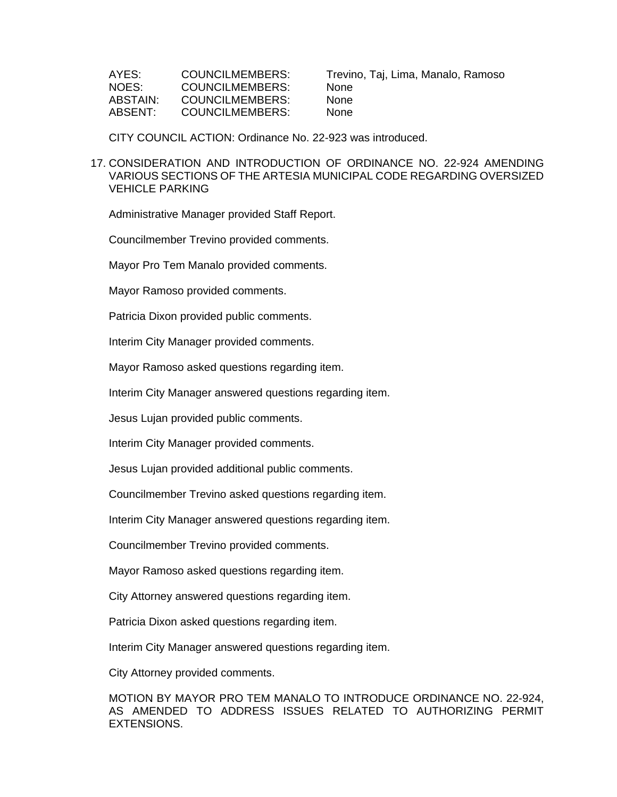| AYES:    | COUNCILMEMBERS: | Trevii |
|----------|-----------------|--------|
| NOES:    | COUNCILMEMBERS: | None   |
| ABSTAIN: | COUNCILMEMBERS: | None   |
| ABSENT:  | COUNCILMEMBERS: | None   |

Trevino, Taj, Lima, Manalo, Ramoso

CITY COUNCIL ACTION: Ordinance No. 22-923 was introduced.

#### 17. CONSIDERATION AND INTRODUCTION OF ORDINANCE NO. 22-924 AMENDING VARIOUS SECTIONS OF THE ARTESIA MUNICIPAL CODE REGARDING OVERSIZED VEHICLE PARKING

Administrative Manager provided Staff Report.

Councilmember Trevino provided comments.

Mayor Pro Tem Manalo provided comments.

Mayor Ramoso provided comments.

Patricia Dixon provided public comments.

Interim City Manager provided comments.

Mayor Ramoso asked questions regarding item.

Interim City Manager answered questions regarding item.

Jesus Lujan provided public comments.

Interim City Manager provided comments.

Jesus Lujan provided additional public comments.

Councilmember Trevino asked questions regarding item.

Interim City Manager answered questions regarding item.

Councilmember Trevino provided comments.

Mayor Ramoso asked questions regarding item.

City Attorney answered questions regarding item.

Patricia Dixon asked questions regarding item.

Interim City Manager answered questions regarding item.

City Attorney provided comments.

MOTION BY MAYOR PRO TEM MANALO TO INTRODUCE ORDINANCE NO. 22-924, AS AMENDED TO ADDRESS ISSUES RELATED TO AUTHORIZING PERMIT EXTENSIONS.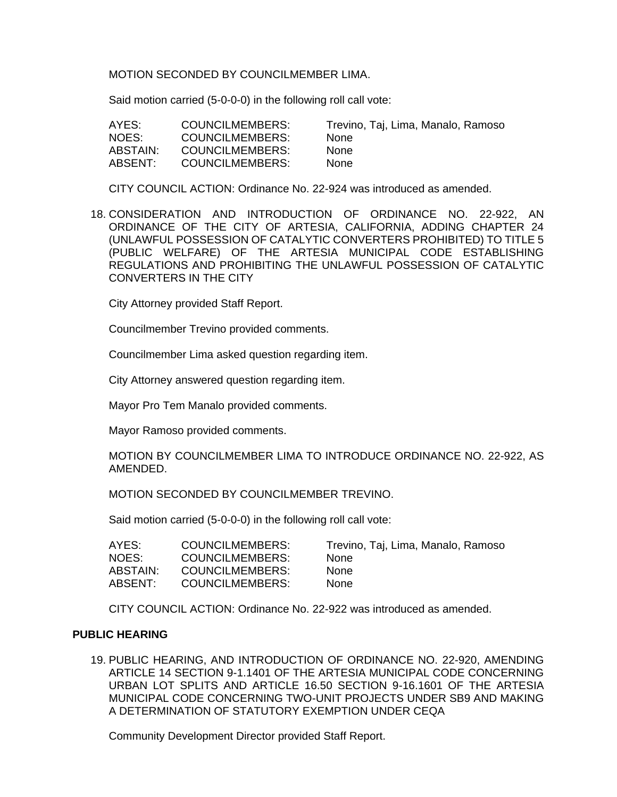MOTION SECONDED BY COUNCILMEMBER LIMA.

Said motion carried (5-0-0-0) in the following roll call vote:

| AYES:    | COUNCILMEMBERS:        | Trevino, Taj, Lima, Manalo, Ramoso |
|----------|------------------------|------------------------------------|
| NOES:    | COUNCILMEMBERS:        | <b>None</b>                        |
| ABSTAIN: | COUNCILMEMBERS:        | <b>None</b>                        |
| ABSENT:  | <b>COUNCILMEMBERS:</b> | <b>None</b>                        |

CITY COUNCIL ACTION: Ordinance No. 22-924 was introduced as amended.

18. CONSIDERATION AND INTRODUCTION OF ORDINANCE NO. 22-922, AN ORDINANCE OF THE CITY OF ARTESIA, CALIFORNIA, ADDING CHAPTER 24 (UNLAWFUL POSSESSION OF CATALYTIC CONVERTERS PROHIBITED) TO TITLE 5 (PUBLIC WELFARE) OF THE ARTESIA MUNICIPAL CODE ESTABLISHING REGULATIONS AND PROHIBITING THE UNLAWFUL POSSESSION OF CATALYTIC CONVERTERS IN THE CITY

City Attorney provided Staff Report.

Councilmember Trevino provided comments.

Councilmember Lima asked question regarding item.

City Attorney answered question regarding item.

Mayor Pro Tem Manalo provided comments.

Mayor Ramoso provided comments.

MOTION BY COUNCILMEMBER LIMA TO INTRODUCE ORDINANCE NO. 22-922, AS AMENDED.

MOTION SECONDED BY COUNCILMEMBER TREVINO.

Said motion carried (5-0-0-0) in the following roll call vote:

| AYES:    | COUNCILMEMBERS: | Trevii |
|----------|-----------------|--------|
| NOES:    | COUNCILMEMBERS: | None   |
| ABSTAIN: | COUNCILMEMBERS: | None   |
| ABSENT:  | COUNCILMEMBERS: | None   |

evino, Taj, Lima, Manalo, Ramoso

CITY COUNCIL ACTION: Ordinance No. 22-922 was introduced as amended.

### **PUBLIC HEARING**

19. PUBLIC HEARING, AND INTRODUCTION OF ORDINANCE NO. 22-920, AMENDING ARTICLE 14 SECTION 9-1.1401 OF THE ARTESIA MUNICIPAL CODE CONCERNING URBAN LOT SPLITS AND ARTICLE 16.50 SECTION 9-16.1601 OF THE ARTESIA MUNICIPAL CODE CONCERNING TWO-UNIT PROJECTS UNDER SB9 AND MAKING A DETERMINATION OF STATUTORY EXEMPTION UNDER CEQA

Community Development Director provided Staff Report.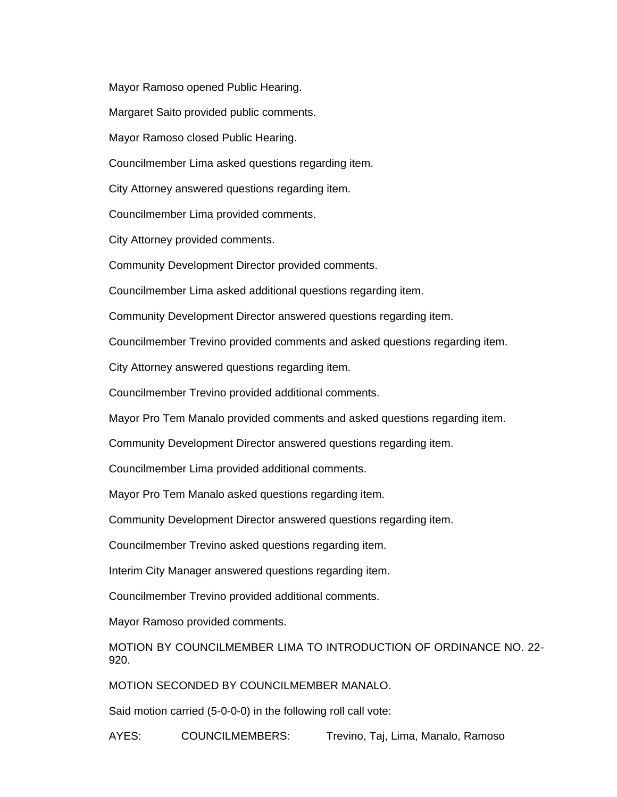Mayor Ramoso opened Public Hearing.

Margaret Saito provided public comments.

Mayor Ramoso closed Public Hearing.

Councilmember Lima asked questions regarding item.

City Attorney answered questions regarding item.

Councilmember Lima provided comments.

City Attorney provided comments.

Community Development Director provided comments.

Councilmember Lima asked additional questions regarding item.

Community Development Director answered questions regarding item.

Councilmember Trevino provided comments and asked questions regarding item.

City Attorney answered questions regarding item.

Councilmember Trevino provided additional comments.

Mayor Pro Tem Manalo provided comments and asked questions regarding item.

Community Development Director answered questions regarding item.

Councilmember Lima provided additional comments.

Mayor Pro Tem Manalo asked questions regarding item.

Community Development Director answered questions regarding item.

Councilmember Trevino asked questions regarding item.

Interim City Manager answered questions regarding item.

Councilmember Trevino provided additional comments.

Mayor Ramoso provided comments.

MOTION BY COUNCILMEMBER LIMA TO INTRODUCTION OF ORDINANCE NO. 22- 920.

MOTION SECONDED BY COUNCILMEMBER MANALO.

Said motion carried (5-0-0-0) in the following roll call vote:

AYES: COUNCILMEMBERS: Trevino, Taj, Lima, Manalo, Ramoso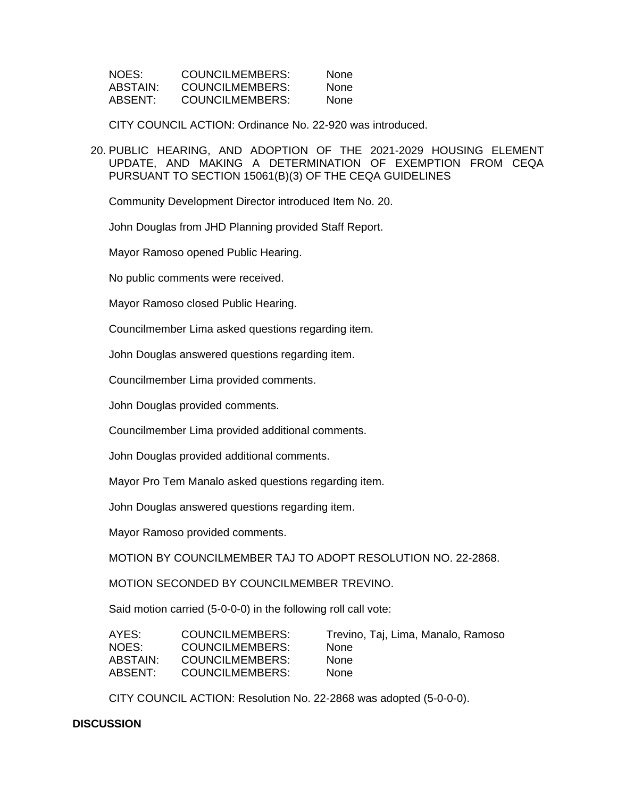| NOES:    | COUNCILMEMBERS: | <b>None</b> |
|----------|-----------------|-------------|
| ABSTAIN: | COUNCILMEMBERS: | <b>None</b> |
| ABSENT:  | COUNCILMEMBERS: | <b>None</b> |

CITY COUNCIL ACTION: Ordinance No. 22-920 was introduced.

20. PUBLIC HEARING, AND ADOPTION OF THE 2021-2029 HOUSING ELEMENT UPDATE, AND MAKING A DETERMINATION OF EXEMPTION FROM CEQA PURSUANT TO SECTION 15061(B)(3) OF THE CEQA GUIDELINES

Community Development Director introduced Item No. 20.

John Douglas from JHD Planning provided Staff Report.

Mayor Ramoso opened Public Hearing.

No public comments were received.

Mayor Ramoso closed Public Hearing.

Councilmember Lima asked questions regarding item.

John Douglas answered questions regarding item.

Councilmember Lima provided comments.

John Douglas provided comments.

Councilmember Lima provided additional comments.

John Douglas provided additional comments.

Mayor Pro Tem Manalo asked questions regarding item.

John Douglas answered questions regarding item.

Mayor Ramoso provided comments.

MOTION BY COUNCILMEMBER TAJ TO ADOPT RESOLUTION NO. 22-2868.

MOTION SECONDED BY COUNCILMEMBER TREVINO.

Said motion carried (5-0-0-0) in the following roll call vote:

| COUNCILMEMBERS: | Trevino, Taj, Lima, Manalo, Ramoso |
|-----------------|------------------------------------|
| COUNCILMEMBERS: | <b>None</b>                        |
| COUNCILMEMBERS: | <b>None</b>                        |
| COUNCILMEMBERS: | <b>None</b>                        |
|                 |                                    |

CITY COUNCIL ACTION: Resolution No. 22-2868 was adopted (5-0-0-0).

#### **DISCUSSION**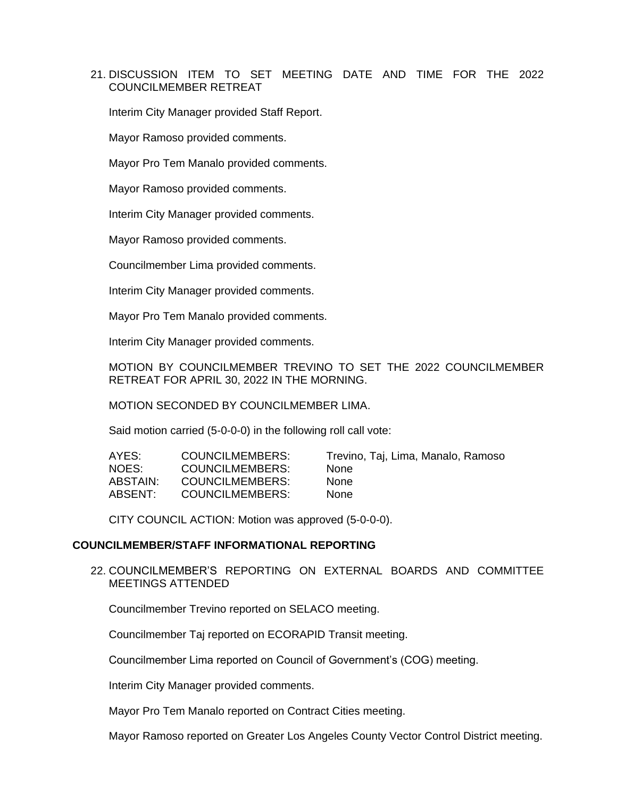## 21. DISCUSSION ITEM TO SET MEETING DATE AND TIME FOR THE 2022 COUNCILMEMBER RETREAT

Interim City Manager provided Staff Report.

Mayor Ramoso provided comments.

Mayor Pro Tem Manalo provided comments.

Mayor Ramoso provided comments.

Interim City Manager provided comments.

Mayor Ramoso provided comments.

Councilmember Lima provided comments.

Interim City Manager provided comments.

Mayor Pro Tem Manalo provided comments.

Interim City Manager provided comments.

MOTION BY COUNCILMEMBER TREVINO TO SET THE 2022 COUNCILMEMBER RETREAT FOR APRIL 30, 2022 IN THE MORNING.

MOTION SECONDED BY COUNCILMEMBER LIMA.

Said motion carried (5-0-0-0) in the following roll call vote:

| AYES:    | COUNCILMEMBERS:        | Trevino, Taj, Lima, Manalo, Ramoso |
|----------|------------------------|------------------------------------|
| NOES:    | COUNCILMEMBERS:        | <b>None</b>                        |
| ABSTAIN: | COUNCILMEMBERS:        | <b>None</b>                        |
| ABSENT:  | <b>COUNCILMEMBERS:</b> | <b>None</b>                        |

CITY COUNCIL ACTION: Motion was approved (5-0-0-0).

### **COUNCILMEMBER/STAFF INFORMATIONAL REPORTING**

22. COUNCILMEMBER'S REPORTING ON EXTERNAL BOARDS AND COMMITTEE MEETINGS ATTENDED

Councilmember Trevino reported on SELACO meeting.

Councilmember Taj reported on ECORAPID Transit meeting.

Councilmember Lima reported on Council of Government's (COG) meeting.

Interim City Manager provided comments.

Mayor Pro Tem Manalo reported on Contract Cities meeting.

Mayor Ramoso reported on Greater Los Angeles County Vector Control District meeting.